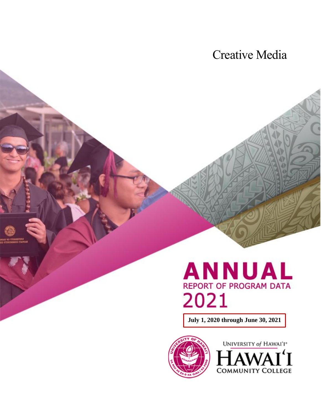# Creative Media



**July 1, 2020 through June 30, 2021**



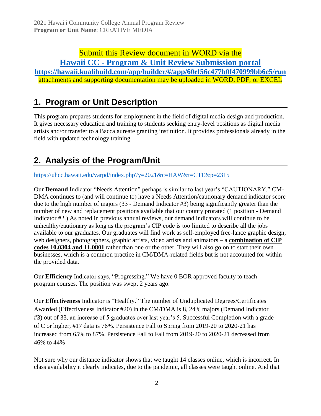## Submit this Review document in WORD via the **Hawaii CC - [Program & Unit Review Submission portal](https://hawaii.kualibuild.com/app/builder/#/app/60ef56c477b0f470999bb6e5/run)**

**<https://hawaii.kualibuild.com/app/builder/#/app/60ef56c477b0f470999bb6e5/run>** attachments and supporting documentation may be uploaded in WORD, PDF, or EXCEL

## **1. Program or Unit Description**

This program prepares students for employment in the field of digital media design and production. It gives necessary education and training to students seeking entry-level positions as digital media artists and/or transfer to a Baccalaureate granting institution. It provides professionals already in the field with updated technology training.

### **2. Analysis of the Program/Unit**

<https://uhcc.hawaii.edu/varpd/index.php?y=2021&c=HAW&t=CTE&p=2315>

Our **Demand** Indicator "Needs Attention" perhaps is similar to last year's "CAUTIONARY." CM-DMA continues to (and will continue to) have a Needs Attention/cautionary demand indicator score due to the high number of majors (33 - Demand Indicator #3) being significantly greater than the number of new and replacement positions available that our county prorated (1 position - Demand Indicator #2.) As noted in previous annual reviews, our demand indicators will continue to be unhealthy/cautionary as long as the program's CIP code is too limited to describe all the jobs available to our graduates. Our graduates will find work as self-employed free-lance graphic design, web designers, photographers, graphic artists, video artists and animators – a **combination of CIP codes 10.0304 and 11.0801** rather than one or the other. They will also go on to start their own businesses, which is a common practice in CM/DMA-related fields but is not accounted for within the provided data.

Our **Efficiency** Indicator says, "Progressing." We have 0 BOR approved faculty to teach program courses. The position was swept 2 years ago.

Our **Effectiveness** Indicator is "Healthy." The number of Unduplicated Degrees/Certificates Awarded (Effectiveness Indicator #20) in the CM/DMA is 8, 24% majors (Demand Indicator #3) out of 33, an increase of 5 graduates over last year's 5. Successful Completion with a grade of C or higher, #17 data is 76%. Persistence Fall to Spring from 2019-20 to 2020-21 has increased from 65% to 87%. Persistence Fall to Fall from 2019-20 to 2020-21 decreased from 46% to 44%

Not sure why our distance indicator shows that we taught 14 classes online, which is incorrect. In class availability it clearly indicates, due to the pandemic, all classes were taught online. And that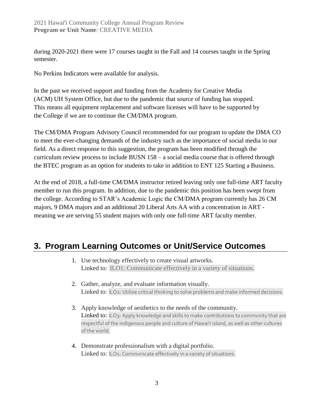during 2020-2021 there were 17 courses taught in the Fall and 14 courses taught in the Spring semester.

No Perkins Indicators were available for analysis.

In the past we received support and funding from the Academy for Creative Media (ACM) UH System Office, but due to the pandemic that source of funding has stopped. This means all equipment replacement and software licenses will have to be supported by the College if we are to continue the CM/DMA program.

The CM/DMA Program Advisory Council recommended for our program to update the DMA CO to meet the ever-changing demands of the industry such as the importance of social media in our field. As a direct response to this suggestion, the program has been modified through the curriculum review process to include BUSN 158 – a social media course that is offered through the BTEC program as an option for students to take in addition to ENT 125 Starting a Business.

At the end of 2018, a full-time CM/DMA instructor retired leaving only one full-time ART faculty member to run this program. In addition, due to the pandemic this position has been swept from the college. According to STAR's Academic Logic the CM/DMA program currently has 26 CM majors, 9 DMA majors and an additional 20 Liberal Arts AA with a concentration in ART meaning we are serving 55 student majors with only one full-time ART faculty member.

### **3. Program Learning Outcomes or Unit/Service Outcomes**

- 1. Use technology effectively to create visual artworks. Linked to: ILO1: Communicate effectively in a variety of situations.
- 2. Gather, analyze, and evaluate information visually. Linked to: ILO2: Utilize critical thinking to solve problems and make informed decisions.
- 3. Apply knowledge of aesthetics to the needs of the community. Linked to: ILO3: Apply knowledge and skills to make contributions to community that are respectful of the indigenous people and culture of Hawai'i island, as well as other cultures of the world.
- 4. Demonstrate professionalism with a digital portfolio. Linked to: ILO1: Communicate effectively in a variety of situations.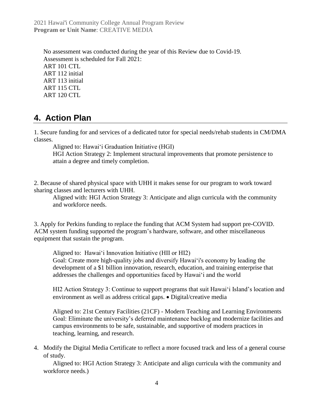2021 Hawai'i Community College Annual Program Review **Program or Unit Name**: CREATIVE MEDIA

No assessment was conducted during the year of this Review due to Covid-19. Assessment is scheduled for Fall 2021: ART 101 CTL ART 112 initial ART 113 initial ART 115 CTL ART 120 CTL

#### **4. Action Plan**

1. Secure funding for and services of a dedicated tutor for special needs/rehab students in CM/DMA classes.

Aligned to: Hawai'i Graduation Initiative (HGI)

HGI Action Strategy 2: Implement structural improvements that promote persistence to attain a degree and timely completion.

2. Because of shared physical space with UHH it makes sense for our program to work toward sharing classes and lecturers with UHH.

Aligned with: HGI Action Strategy 3: Anticipate and align curricula with the community and workforce needs.

3. Apply for Perkins funding to replace the funding that ACM System had support pre-COVID. ACM system funding supported the program's hardware, software, and other miscellaneous equipment that sustain the program.

Aligned to: Hawaiʻi Innovation Initiative (HII or HI2) Goal: Create more high-quality jobs and diversify Hawai'i's economy by leading the development of a \$1 billion innovation, research, education, and training enterprise that addresses the challenges and opportunities faced by Hawaiʻi and the world

HI2 Action Strategy 3: Continue to support programs that suit Hawai'i Island's location and environment as well as address critical gaps. • Digital/creative media

Aligned to: 21st Century Facilities (21CF) - Modern Teaching and Learning Environments Goal: Eliminate the university's deferred maintenance backlog and modernize facilities and campus environments to be safe, sustainable, and supportive of modern practices in teaching, learning, and research.

4. Modify the Digital Media Certificate to reflect a more focused track and less of a general course of study.

Aligned to: HGI Action Strategy 3: Anticipate and align curricula with the community and workforce needs.)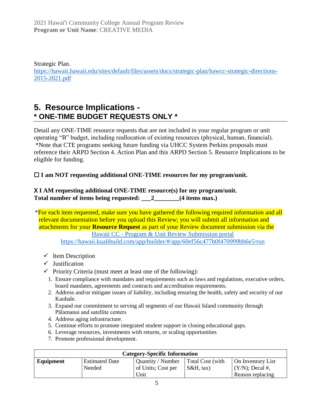Strategic Plan. [https://hawaii.hawaii.edu/sites/default/files/assets/docs/strategic-plan/hawcc-strategic-directions-](https://hawaii.hawaii.edu/sites/default/files/assets/docs/strategic-plan/hawcc-strategic-directions-2015-2021.pdf)[2015-2021.pdf](https://hawaii.hawaii.edu/sites/default/files/assets/docs/strategic-plan/hawcc-strategic-directions-2015-2021.pdf)

### **5. Resource Implications - \* ONE-TIME BUDGET REQUESTS ONLY \***

Detail any ONE-TIME resource requests that are not included in your regular program or unit operating "B" budget, including reallocation of existing resources (physical, human, financial). \*Note that CTE programs seeking future funding via UHCC System Perkins proposals must reference their ARPD Section 4. Action Plan and this ARPD Section 5. Resource Implications to be eligible for funding.

□ I am NOT requesting additional ONE-TIME resources for my program/unit.

#### X **I AM requesting additional ONE-TIME resource(s) for my program/unit. Total number of items being requested: \_\_\_2\_\_\_\_\_\_\_\_(4 items max.)**

\*For each item requested, make sure you have gathered the following required information and all relevant documentation before you upload this Review; you will submit all information and attachments for your **Resource Request** as part of your Review document submission via the

Hawaii CC - [Program & Unit Review Submission portal](https://hawaii.kualibuild.com/app/builder/#/app/60ef56c477b0f470999bb6e5/run) <https://hawaii.kualibuild.com/app/builder/#/app/60ef56c477b0f470999bb6e5/run>

- $\checkmark$  Item Description
- $\checkmark$  Justification
- ✓ Priority Criteria (must meet at least one of the following):
	- 1. Ensure compliance with mandates and requirements such as laws and regulations, executive orders, board mandates, agreements and contracts and accreditation requirements.
	- 2. Address and/or mitigate issues of liability, including ensuring the health, safety and security of our Kauhale.
	- 3. Expand our commitment to serving all segments of our Hawaii Island community through Pālamanui and satellite centers
	- 4. Address aging infrastructure.
	- 5. Continue efforts to promote integrated student support in closing educational gaps.
	- 6. Leverage resources, investments with returns, or scaling opportunities
	- 7. Promote professional development.

| <b>Category-Specific Information</b> |                                 |                                                 |                               |                                                             |  |  |
|--------------------------------------|---------------------------------|-------------------------------------------------|-------------------------------|-------------------------------------------------------------|--|--|
| Equipment                            | <b>Estimated Date</b><br>Needed | Quantity / Number<br>of Units; Cost per<br>Unit | Total Cost (with<br>S&H. tax) | On Inventory List<br>$(Y/N)$ ; Decal #,<br>Reason replacing |  |  |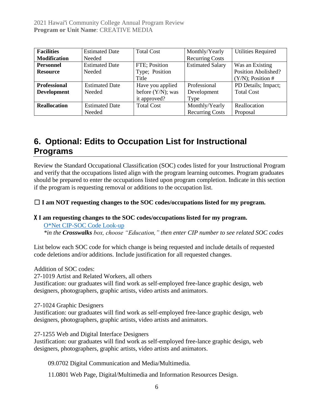| <b>Facilities</b>   | <b>Estimated Date</b> | <b>Total Cost</b>    | Monthly/Yearly          | <b>Utilities Required</b> |
|---------------------|-----------------------|----------------------|-------------------------|---------------------------|
| <b>Modification</b> | Needed                |                      | <b>Recurring Costs</b>  |                           |
| <b>Personnel</b>    | <b>Estimated Date</b> | FTE; Position        | <b>Estimated Salary</b> | Was an Existing           |
| <b>Resource</b>     | Needed                | Type; Position       |                         | Position Abolished?       |
|                     |                       | Title                |                         | $(Y/N)$ ; Position #      |
| <b>Professional</b> | <b>Estimated Date</b> | Have you applied     | Professional            | PD Details; Impact;       |
| <b>Development</b>  | Needed                | before $(Y/N)$ ; was | Development             | <b>Total Cost</b>         |
|                     |                       | it approved?         | Type                    |                           |
| <b>Reallocation</b> | <b>Estimated Date</b> | <b>Total Cost</b>    | Monthly/Yearly          | Reallocation              |
|                     | Needed                |                      | <b>Recurring Costs</b>  | Proposal                  |

## **6. Optional: Edits to Occupation List for Instructional Programs**

Review the Standard Occupational Classification (SOC) codes listed for your Instructional Program and verify that the occupations listed align with the program learning outcomes. Program graduates should be prepared to enter the occupations listed upon program completion. Indicate in this section if the program is requesting removal or additions to the occupation list.

☐ **I am NOT requesting changes to the SOC codes/occupations listed for my program.**

#### X **I am requesting changes to the SOC codes/occupations listed for my program.**

[O\\*Net CIP-SOC Code Look-up](http://www.onetonline.org/) *\*in the Crosswalks box, choose "Education," then enter CIP number to see related SOC codes*

List below each SOC code for which change is being requested and include details of requested code deletions and/or additions. Include justification for all requested changes.

Addition of SOC codes:

27-1019 Artist and Related Workers, all others

Justification: our graduates will find work as self-employed free-lance graphic design, web designers, photographers, graphic artists, video artists and animators.

27-1024 Graphic Designers

Justification: our graduates will find work as self-employed free-lance graphic design, web designers, photographers, graphic artists, video artists and animators.

27-1255 Web and Digital Interface Designers

Justification: our graduates will find work as self-employed free-lance graphic design, web designers, photographers, graphic artists, video artists and animators.

09.0702 Digital Communication and Media/Multimedia.

11.0801 Web Page, Digital/Multimedia and Information Resources Design.